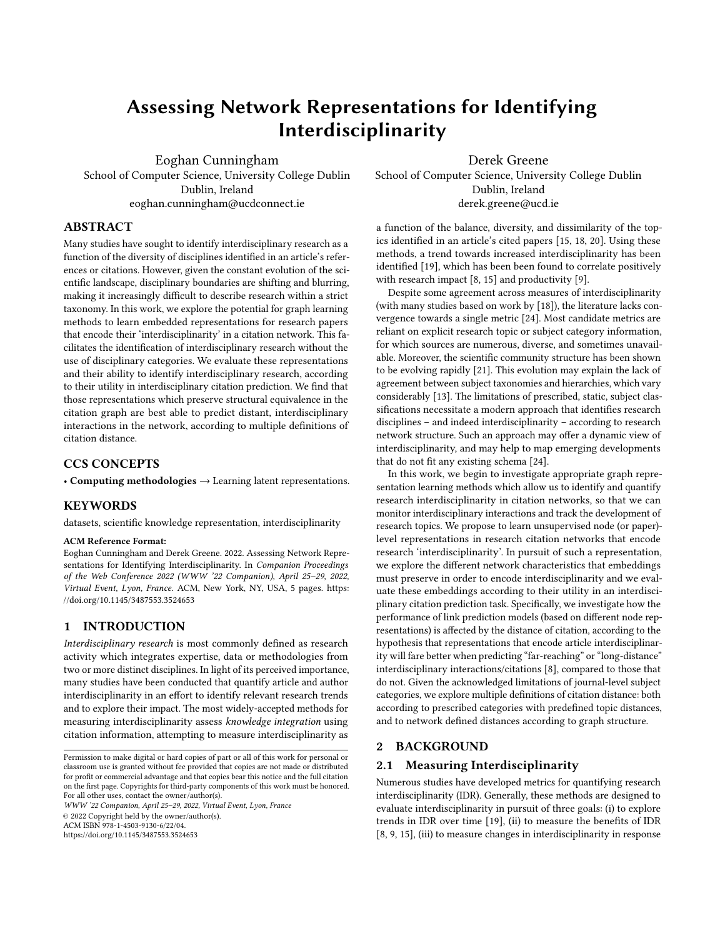# Assessing Network Representations for Identifying Interdisciplinarity

[Eoghan Cunningham](https://orcid.org/0000-0002-0435-1962) Dublin, Ireland

[Derek Greene](https://orcid.org/0000-0001-8065-5418)

School of Computer Science, University College Dublin eoghan.cunningham@ucdconnect.ie

School of Computer Science, University College Dublin Dublin, Ireland derek.greene@ucd.ie

## ABSTRACT

Many studies have sought to identify interdisciplinary research as a function of the diversity of disciplines identified in an article's references or citations. However, given the constant evolution of the scientific landscape, disciplinary boundaries are shifting and blurring, making it increasingly difficult to describe research within a strict taxonomy. In this work, we explore the potential for graph learning methods to learn embedded representations for research papers that encode their 'interdisciplinarity' in a citation network. This facilitates the identification of interdisciplinary research without the use of disciplinary categories. We evaluate these representations and their ability to identify interdisciplinary research, according to their utility in interdisciplinary citation prediction. We find that those representations which preserve structural equivalence in the citation graph are best able to predict distant, interdisciplinary interactions in the network, according to multiple definitions of citation distance.

# CCS CONCEPTS

• Computing methodologies → Learning latent representations.

## **KEYWORDS**

datasets, scientific knowledge representation, interdisciplinarity

#### ACM Reference Format:

Eoghan Cunningham and Derek Greene. 2022. Assessing Network Representations for Identifying Interdisciplinarity. In Companion Proceedings of the Web Conference 2022 (WWW '22 Companion), April 25–29, 2022, Virtual Event, Lyon, France. ACM, New York, NY, USA, [5](#page-4-0) pages. [https:](https://doi.org/10.1145/3487553.3524653) [//doi.org/10.1145/3487553.3524653](https://doi.org/10.1145/3487553.3524653)

# 1 INTRODUCTION

Interdisciplinary research is most commonly defined as research activity which integrates expertise, data or methodologies from two or more distinct disciplines. In light of its perceived importance, many studies have been conducted that quantify article and author interdisciplinarity in an effort to identify relevant research trends and to explore their impact. The most widely-accepted methods for measuring interdisciplinarity assess knowledge integration using citation information, attempting to measure interdisciplinarity as

WWW '22 Companion, April 25–29, 2022, Virtual Event, Lyon, France © 2022 Copyright held by the owner/author(s).

ACM ISBN 978-1-4503-9130-6/22/04.

<https://doi.org/10.1145/3487553.3524653>

a function of the balance, diversity, and dissimilarity of the topics identified in an article's cited papers [\[15,](#page-4-1) [18,](#page-4-2) [20\]](#page-4-3). Using these methods, a trend towards increased interdisciplinarity has been identified [\[19\]](#page-4-4), which has been been found to correlate positively with research impact [\[8,](#page-4-5) [15\]](#page-4-1) and productivity [\[9\]](#page-4-6).

Despite some agreement across measures of interdisciplinarity (with many studies based on work by [\[18\]](#page-4-2)), the literature lacks convergence towards a single metric [\[24\]](#page-4-7). Most candidate metrics are reliant on explicit research topic or subject category information, for which sources are numerous, diverse, and sometimes unavailable. Moreover, the scientific community structure has been shown to be evolving rapidly [\[21\]](#page-4-8). This evolution may explain the lack of agreement between subject taxonomies and hierarchies, which vary considerably [\[13\]](#page-4-9). The limitations of prescribed, static, subject classifications necessitate a modern approach that identifies research disciplines – and indeed interdisciplinarity – according to research network structure. Such an approach may offer a dynamic view of interdisciplinarity, and may help to map emerging developments that do not fit any existing schema [\[24\]](#page-4-7).

In this work, we begin to investigate appropriate graph representation learning methods which allow us to identify and quantify research interdisciplinarity in citation networks, so that we can monitor interdisciplinary interactions and track the development of research topics. We propose to learn unsupervised node (or paper) level representations in research citation networks that encode research 'interdisciplinarity'. In pursuit of such a representation, we explore the different network characteristics that embeddings must preserve in order to encode interdisciplinarity and we evaluate these embeddings according to their utility in an interdisciplinary citation prediction task. Specifically, we investigate how the performance of link prediction models (based on different node representations) is affected by the distance of citation, according to the hypothesis that representations that encode article interdisciplinarity will fare better when predicting "far-reaching" or "long-distance" interdisciplinary interactions/citations [\[8\]](#page-4-5), compared to those that do not. Given the acknowledged limitations of journal-level subject categories, we explore multiple definitions of citation distance: both according to prescribed categories with predefined topic distances, and to network defined distances according to graph structure.

#### 2 BACKGROUND

#### 2.1 Measuring Interdisciplinarity

Numerous studies have developed metrics for quantifying research interdisciplinarity (IDR). Generally, these methods are designed to evaluate interdisciplinarity in pursuit of three goals: (i) to explore trends in IDR over time [\[19\]](#page-4-4), (ii) to measure the benefits of IDR [\[8,](#page-4-5) [9,](#page-4-6) [15\]](#page-4-1), (iii) to measure changes in interdisciplinarity in response

Permission to make digital or hard copies of part or all of this work for personal or classroom use is granted without fee provided that copies are not made or distributed for profit or commercial advantage and that copies bear this notice and the full citation on the first page. Copyrights for third-party components of this work must be honored. For all other uses, contact the owner/author(s).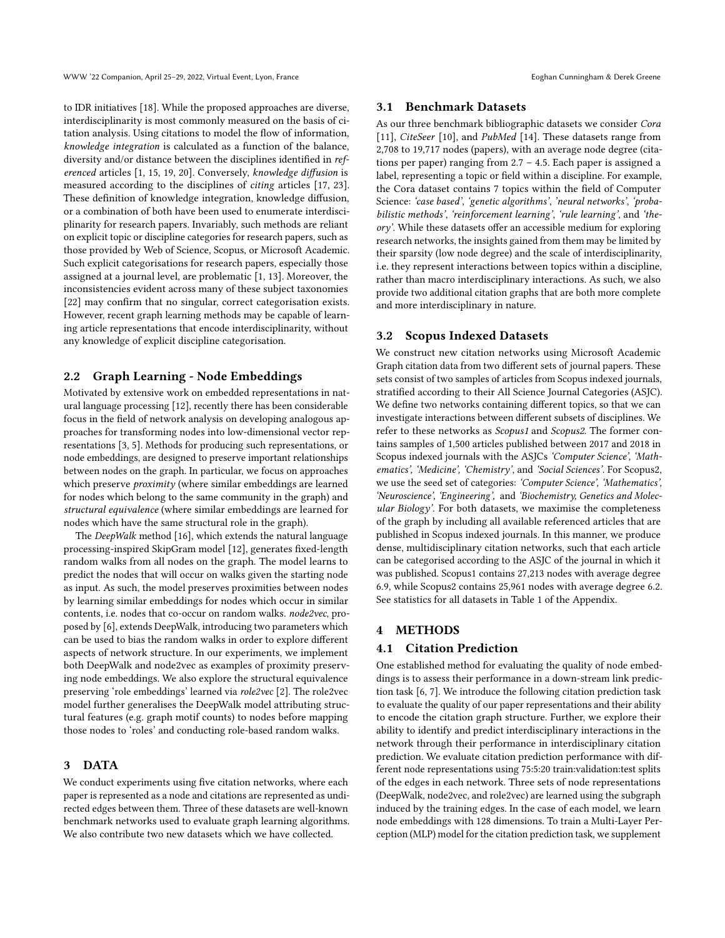WWW '22 Companion, April 25-29, 2022, Virtual Event, Lyon, France **Example 2018** 2021, Equation Cunningham & Derek Greene

to IDR initiatives [\[18\]](#page-4-2). While the proposed approaches are diverse, interdisciplinarity is most commonly measured on the basis of citation analysis. Using citations to model the flow of information, knowledge integration is calculated as a function of the balance, diversity and/or distance between the disciplines identified in referenced articles [\[1,](#page-4-10) [15,](#page-4-1) [19,](#page-4-4) [20\]](#page-4-3). Conversely, knowledge diffusion is measured according to the disciplines of citing articles [\[17,](#page-4-11) [23\]](#page-4-12). These definition of knowledge integration, knowledge diffusion, or a combination of both have been used to enumerate interdisciplinarity for research papers. Invariably, such methods are reliant on explicit topic or discipline categories for research papers, such as those provided by Web of Science, Scopus, or Microsoft Academic. Such explicit categorisations for research papers, especially those assigned at a journal level, are problematic [\[1,](#page-4-10) [13\]](#page-4-9). Moreover, the inconsistencies evident across many of these subject taxonomies [\[22\]](#page-4-13) may confirm that no singular, correct categorisation exists. However, recent graph learning methods may be capable of learning article representations that encode interdisciplinarity, without any knowledge of explicit discipline categorisation.

#### 2.2 Graph Learning - Node Embeddings

Motivated by extensive work on embedded representations in natural language processing [\[12\]](#page-4-14), recently there has been considerable focus in the field of network analysis on developing analogous approaches for transforming nodes into low-dimensional vector representations [\[3,](#page-4-15) [5\]](#page-4-16). Methods for producing such representations, or node embeddings, are designed to preserve important relationships between nodes on the graph. In particular, we focus on approaches which preserve *proximity* (where similar embeddings are learned for nodes which belong to the same community in the graph) and structural equivalence (where similar embeddings are learned for nodes which have the same structural role in the graph).

The DeepWalk method [\[16\]](#page-4-17), which extends the natural language processing-inspired SkipGram model [\[12\]](#page-4-14), generates fixed-length random walks from all nodes on the graph. The model learns to predict the nodes that will occur on walks given the starting node as input. As such, the model preserves proximities between nodes by learning similar embeddings for nodes which occur in similar contents, i.e. nodes that co-occur on random walks. node2vec, proposed by [\[6\]](#page-4-18), extends DeepWalk, introducing two parameters which can be used to bias the random walks in order to explore different aspects of network structure. In our experiments, we implement both DeepWalk and node2vec as examples of proximity preserving node embeddings. We also explore the structural equivalence preserving 'role embeddings' learned via role2vec [\[2\]](#page-4-19). The role2vec model further generalises the DeepWalk model attributing structural features (e.g. graph motif counts) to nodes before mapping those nodes to 'roles' and conducting role-based random walks.

#### 3 DATA

We conduct experiments using five citation networks, where each paper is represented as a node and citations are represented as undirected edges between them. Three of these datasets are well-known benchmark networks used to evaluate graph learning algorithms. We also contribute two new datasets which we have collected.

#### <span id="page-1-0"></span>3.1 Benchmark Datasets

As our three benchmark bibliographic datasets we consider Cora [\[11\]](#page-4-20), CiteSeer [\[10\]](#page-4-21), and PubMed [\[14\]](#page-4-22). These datasets range from 2,708 to 19,717 nodes (papers), with an average node degree (citations per paper) ranging from 2.7 – 4.5. Each paper is assigned a label, representing a topic or field within a discipline. For example, the Cora dataset contains 7 topics within the field of Computer Science: 'case based', 'genetic algorithms', 'neural networks', 'probabilistic methods', 'reinforcement learning', 'rule learning', and 'theory'. While these datasets offer an accessible medium for exploring research networks, the insights gained from them may be limited by their sparsity (low node degree) and the scale of interdisciplinarity, i.e. they represent interactions between topics within a discipline, rather than macro interdisciplinary interactions. As such, we also provide two additional citation graphs that are both more complete and more interdisciplinary in nature.

#### 3.2 Scopus Indexed Datasets

We construct new citation networks using Microsoft Academic Graph citation data from two different sets of journal papers. These sets consist of two samples of articles from Scopus indexed journals, stratified according to their All Science Journal Categories (ASJC). We define two networks containing different topics, so that we can investigate interactions between different subsets of disciplines. We refer to these networks as *Scopus1* and *Scopus2*. The former contains samples of 1,500 articles published between 2017 and 2018 in Scopus indexed journals with the ASJCs 'Computer Science', 'Mathematics', 'Medicine', 'Chemistry', and 'Social Sciences'. For Scopus2, we use the seed set of categories: 'Computer Science', 'Mathematics', 'Neuroscience', 'Engineering', and 'Biochemistry, Genetics and Molecular Biology'. For both datasets, we maximise the completeness of the graph by including all available referenced articles that are published in Scopus indexed journals. In this manner, we produce dense, multidisciplinary citation networks, such that each article can be categorised according to the ASJC of the journal in which it was published. Scopus1 contains 27,213 nodes with average degree 6.9, while Scopus2 contains 25,961 nodes with average degree 6.2. See statistics for all datasets in Table 1 of the Appendix.

#### 4 METHODS

## 4.1 Citation Prediction

One established method for evaluating the quality of node embeddings is to assess their performance in a down-stream link prediction task [\[6,](#page-4-18) [7\]](#page-4-23). We introduce the following citation prediction task to evaluate the quality of our paper representations and their ability to encode the citation graph structure. Further, we explore their ability to identify and predict interdisciplinary interactions in the network through their performance in interdisciplinary citation prediction. We evaluate citation prediction performance with different node representations using 75:5:20 train:validation:test splits of the edges in each network. Three sets of node representations (DeepWalk, node2vec, and role2vec) are learned using the subgraph induced by the training edges. In the case of each model, we learn node embeddings with 128 dimensions. To train a Multi-Layer Perception (MLP) model for the citation prediction task, we supplement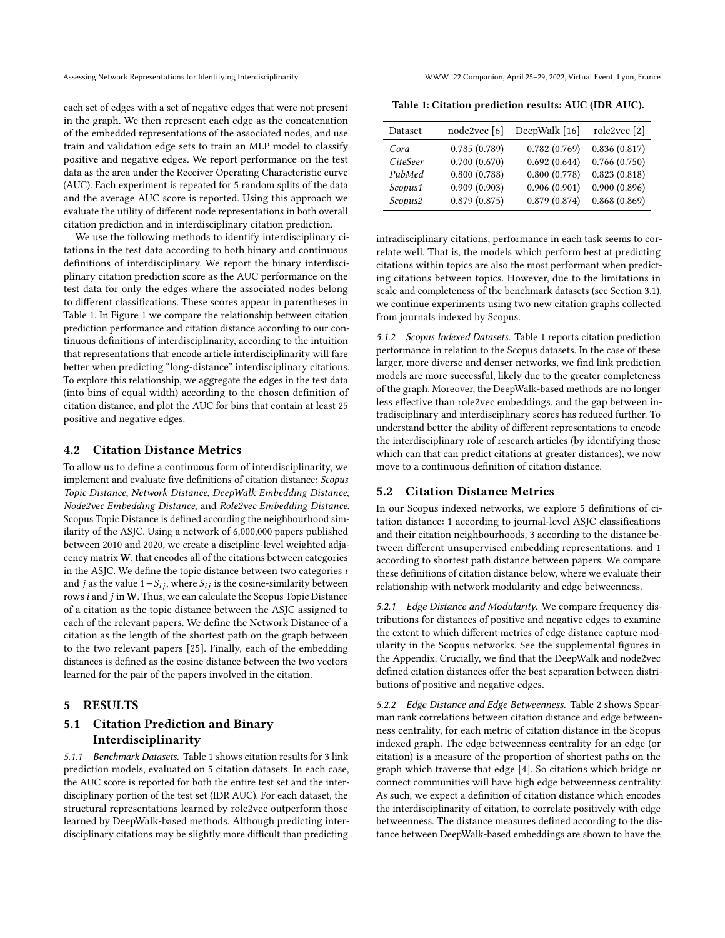each set of edges with a set of negative edges that were not present in the graph. We then represent each edge as the concatenation of the embedded representations of the associated nodes, and use train and validation edge sets to train an MLP model to classify positive and negative edges. We report performance on the test data as the area under the Receiver Operating Characteristic curve (AUC). Each experiment is repeated for 5 random splits of the data and the average AUC score is reported. Using this approach we evaluate the utility of different node representations in both overall citation prediction and in interdisciplinary citation prediction.

We use the following methods to identify interdisciplinary citations in the test data according to both binary and continuous definitions of interdisciplinary. We report the binary interdisciplinary citation prediction score as the AUC performance on the test data for only the edges where the associated nodes belong to different classifications. These scores appear in parentheses in Table [1.](#page-2-0) In Figure [1](#page-3-0) we compare the relationship between citation prediction performance and citation distance according to our continuous definitions of interdisciplinarity, according to the intuition that representations that encode article interdisciplinarity will fare better when predicting "long-distance" interdisciplinary citations. To explore this relationship, we aggregate the edges in the test data (into bins of equal width) according to the chosen definition of citation distance, and plot the AUC for bins that contain at least 25 positive and negative edges.

#### 4.2 Citation Distance Metrics

To allow us to define a continuous form of interdisciplinarity, we implement and evaluate five definitions of citation distance: Scopus Topic Distance, Network Distance, DeepWalk Embedding Distance, Node2vec Embedding Distance, and Role2vec Embedding Distance. Scopus Topic Distance is defined according the neighbourhood similarity of the ASJC. Using a network of 6,000,000 papers published between 2010 and 2020, we create a discipline-level weighted adjacency matrix W, that encodes all of the citations between categories in the ASJC. We define the topic distance between two categories i and *j* as the value  $1-S_{ij}$ , where  $S_{ij}$  is the cosine-similarity between rows  $i$  and  $j$  in W. Thus, we can calculate the Scopus Topic Distance of a citation as the topic distance between the ASJC assigned to each of the relevant papers. We define the Network Distance of a citation as the length of the shortest path on the graph between to the two relevant papers [\[25\]](#page-4-24). Finally, each of the embedding distances is defined as the cosine distance between the two vectors learned for the pair of the papers involved in the citation.

#### 5 RESULTS

# 5.1 Citation Prediction and Binary Interdisciplinarity

5.1.1 Benchmark Datasets. Table [1](#page-2-0) shows citation results for 3 link prediction models, evaluated on 5 citation datasets. In each case, the AUC score is reported for both the entire test set and the interdisciplinary portion of the test set (IDR AUC). For each dataset, the structural representations learned by role2vec outperform those learned by DeepWalk-based methods. Although predicting interdisciplinary citations may be slightly more difficult than predicting

<span id="page-2-0"></span>

| Table 1: Citation prediction results: AUC (IDR AUC). |  |  |  |  |
|------------------------------------------------------|--|--|--|--|
|------------------------------------------------------|--|--|--|--|

| Dataset  | node2vec [6] | DeepWalk [16] | role2vec [2] |
|----------|--------------|---------------|--------------|
| Cora     | 0.785(0.789) | 0.782(0.769)  | 0.836(0.817) |
| CiteSeer | 0.700(0.670) | 0.692(0.644)  | 0.766(0.750) |
| PubMed   | 0.800(0.788) | 0.800(0.778)  | 0.823(0.818) |
| Scopus1  | 0.909(0.903) | 0.906(0.901)  | 0.900(0.896) |
| Scopus2  | 0.879(0.875) | 0.879(0.874)  | 0.868(0.869) |

intradisciplinary citations, performance in each task seems to correlate well. That is, the models which perform best at predicting citations within topics are also the most performant when predicting citations between topics. However, due to the limitations in scale and completeness of the benchmark datasets (see Section [3.1\)](#page-1-0), we continue experiments using two new citation graphs collected from journals indexed by Scopus.

5.1.2 Scopus Indexed Datasets. Table [1](#page-2-0) reports citation prediction performance in relation to the Scopus datasets. In the case of these larger, more diverse and denser networks, we find link prediction models are more successful, likely due to the greater completeness of the graph. Moreover, the DeepWalk-based methods are no longer less effective than role2vec embeddings, and the gap between intradisciplinary and interdisciplinary scores has reduced further. To understand better the ability of different representations to encode the interdisciplinary role of research articles (by identifying those which can that can predict citations at greater distances), we now move to a continuous definition of citation distance.

#### 5.2 Citation Distance Metrics

In our Scopus indexed networks, we explore 5 definitions of citation distance: 1 according to journal-level ASJC classifications and their citation neighbourhoods, 3 according to the distance between different unsupervised embedding representations, and 1 according to shortest path distance between papers. We compare these definitions of citation distance below, where we evaluate their relationship with network modularity and edge betweenness.

5.2.1 Edge Distance and Modularity. We compare frequency distributions for distances of positive and negative edges to examine the extent to which different metrics of edge distance capture modularity in the Scopus networks. See the supplemental figures in the Appendix. Crucially, we find that the DeepWalk and node2vec defined citation distances offer the best separation between distributions of positive and negative edges.

5.2.2 Edge Distance and Edge Betweenness. Table [2](#page-3-1) shows Spearman rank correlations between citation distance and edge betweenness centrality, for each metric of citation distance in the Scopus indexed graph. The edge betweenness centrality for an edge (or citation) is a measure of the proportion of shortest paths on the graph which traverse that edge [\[4\]](#page-4-25). So citations which bridge or connect communities will have high edge betweenness centrality. As such, we expect a definition of citation distance which encodes the interdisciplinarity of citation, to correlate positively with edge betweenness. The distance measures defined according to the distance between DeepWalk-based embeddings are shown to have the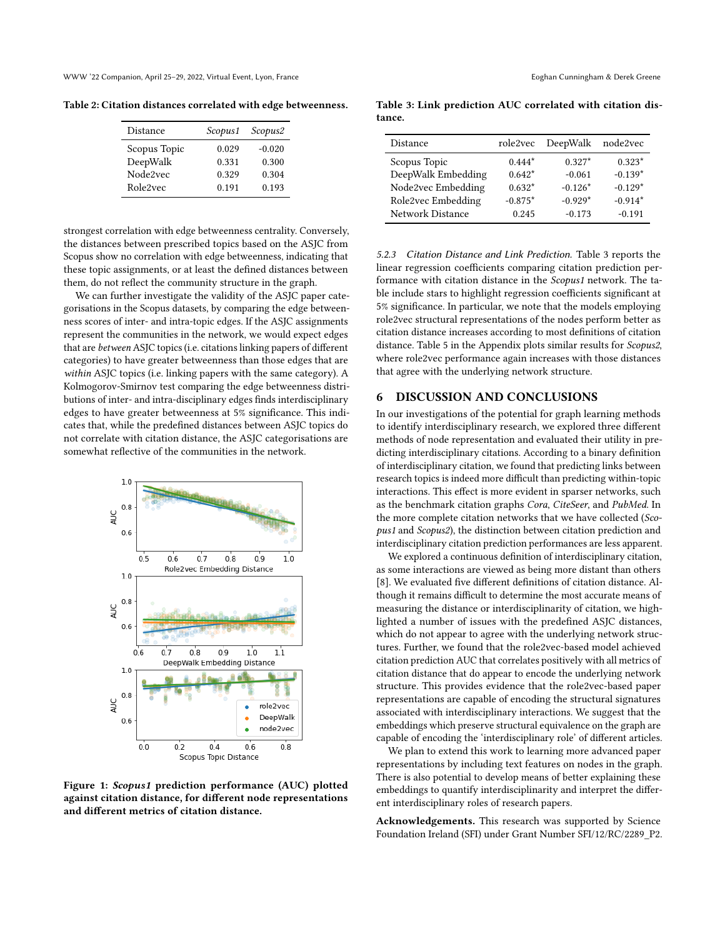WWW '22 Companion, April 25-29, 2022, Virtual Event, Lyon, France **Example 2018** 2021, Equation Cunningham & Derek Greene

<span id="page-3-1"></span>Table 2: Citation distances correlated with edge betweenness.

| <b>Distance</b> | Scopus1 | Scopus2  |
|-----------------|---------|----------|
| Scopus Topic    | 0.029   | $-0.020$ |
| DeepWalk        | 0.331   | 0.300    |
| Node2vec        | 0.329   | 0.304    |
| Role2vec        | 0.191   | 0.193    |

strongest correlation with edge betweenness centrality. Conversely, the distances between prescribed topics based on the ASJC from Scopus show no correlation with edge betweenness, indicating that these topic assignments, or at least the defined distances between them, do not reflect the community structure in the graph.

We can further investigate the validity of the ASJC paper categorisations in the Scopus datasets, by comparing the edge betweenness scores of inter- and intra-topic edges. If the ASJC assignments represent the communities in the network, we would expect edges that are between ASJC topics (i.e. citations linking papers of different categories) to have greater betweenness than those edges that are within ASJC topics (i.e. linking papers with the same category). A Kolmogorov-Smirnov test comparing the edge betweenness distributions of inter- and intra-disciplinary edges finds interdisciplinary edges to have greater betweenness at 5% significance. This indicates that, while the predefined distances between ASJC topics do not correlate with citation distance, the ASJC categorisations are somewhat reflective of the communities in the network.

<span id="page-3-0"></span>

Figure 1: Scopus1 prediction performance (AUC) plotted against citation distance, for different node representations and different metrics of citation distance.

<span id="page-3-2"></span>Table 3: Link prediction AUC correlated with citation distance.

| Distance           | role2vec  | DeepWalk  | node2vec  |
|--------------------|-----------|-----------|-----------|
| Scopus Topic       | $0.444*$  | $0.327*$  | $0.323*$  |
| DeepWalk Embedding | $0.642*$  | $-0.061$  | $-0.139*$ |
| Node2vec Embedding | $0.632*$  | $-0.126*$ | $-0.129*$ |
| Role2vec Embedding | $-0.875*$ | $-0.929*$ | $-0.914*$ |
| Network Distance   | 0.245     | $-0.173$  | $-0.191$  |

5.2.3 Citation Distance and Link Prediction. Table [3](#page-3-2) reports the linear regression coefficients comparing citation prediction performance with citation distance in the Scopus1 network. The table include stars to highlight regression coefficients significant at 5% significance. In particular, we note that the models employing role2vec structural representations of the nodes perform better as citation distance increases according to most definitions of citation distance. Table 5 in the Appendix plots similar results for Scopus2, where role2vec performance again increases with those distances that agree with the underlying network structure.

## 6 DISCUSSION AND CONCLUSIONS

In our investigations of the potential for graph learning methods to identify interdisciplinary research, we explored three different methods of node representation and evaluated their utility in predicting interdisciplinary citations. According to a binary definition of interdisciplinary citation, we found that predicting links between research topics is indeed more difficult than predicting within-topic interactions. This effect is more evident in sparser networks, such as the benchmark citation graphs Cora, CiteSeer, and PubMed. In the more complete citation networks that we have collected (Scopus1 and Scopus2), the distinction between citation prediction and interdisciplinary citation prediction performances are less apparent.

We explored a continuous definition of interdisciplinary citation, as some interactions are viewed as being more distant than others [\[8\]](#page-4-5). We evaluated five different definitions of citation distance. Although it remains difficult to determine the most accurate means of measuring the distance or interdisciplinarity of citation, we highlighted a number of issues with the predefined ASJC distances, which do not appear to agree with the underlying network structures. Further, we found that the role2vec-based model achieved citation prediction AUC that correlates positively with all metrics of citation distance that do appear to encode the underlying network structure. This provides evidence that the role2vec-based paper representations are capable of encoding the structural signatures associated with interdisciplinary interactions. We suggest that the embeddings which preserve structural equivalence on the graph are capable of encoding the 'interdisciplinary role' of different articles.

We plan to extend this work to learning more advanced paper representations by including text features on nodes in the graph. There is also potential to develop means of better explaining these embeddings to quantify interdisciplinarity and interpret the different interdisciplinary roles of research papers.

Acknowledgements. This research was supported by Science Foundation Ireland (SFI) under Grant Number SFI/12/RC/2289\_P2.